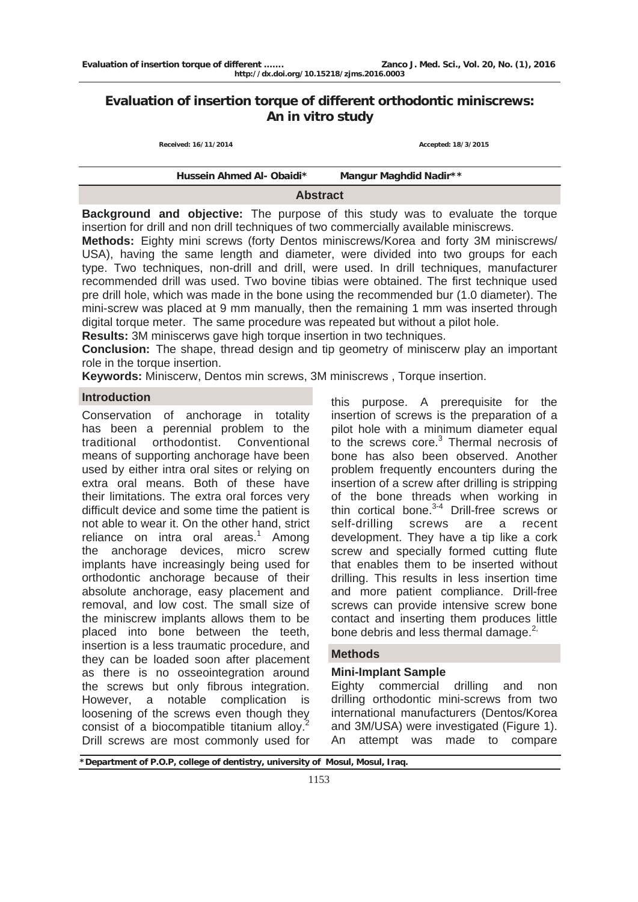# **Evaluation of insertion torque of different orthodontic miniscrews: An in vitro study**

 **Received: 16/11/2014 Accepted: 18/3/2015** 

| Hussein Ahmed Al- Obaidi* | Mangur Maghdid Nadir** |  |
|---------------------------|------------------------|--|
| <b>Abstract</b>           |                        |  |

**Background and objective:** The purpose of this study was to evaluate the torque insertion for drill and non drill techniques of two commercially available miniscrews.

**Methods:** Eighty mini screws (forty Dentos miniscrews/Korea and forty 3M miniscrews/ USA), having the same length and diameter, were divided into two groups for each type. Two techniques, non-drill and drill, were used. In drill techniques, manufacturer recommended drill was used. Two bovine tibias were obtained. The first technique used pre drill hole, which was made in the bone using the recommended bur (1.0 diameter). The mini-screw was placed at 9 mm manually, then the remaining 1 mm was inserted through digital torque meter. The same procedure was repeated but without a pilot hole.

**Results:** 3M miniscerws gave high torque insertion in two techniques.

**Conclusion:** The shape, thread design and tip geometry of miniscerw play an important role in the torque insertion.

**Keywords:** Miniscerw, Dentos min screws, 3M miniscrews , Torque insertion.

# **Introduction**

Conservation of anchorage in totality has been a perennial problem to the traditional orthodontist. Conventional means of supporting anchorage have been used by either intra oral sites or relying on extra oral means. Both of these have their limitations. The extra oral forces very difficult device and some time the patient is not able to wear it. On the other hand, strict reliance on intra oral areas. $1$  Among the anchorage devices, micro screw implants have increasingly being used for orthodontic anchorage because of their absolute anchorage, easy placement and removal, and low cost. The small size of the miniscrew implants allows them to be placed into bone between the teeth, insertion is a less traumatic procedure, and they can be loaded soon after placement as there is no osseointegration around the screws but only fibrous integration. However, a notable complication is loosening of the screws even though they consist of a biocompatible titanium alloy.<sup>2</sup> Drill screws are most commonly used for

this purpose. A prerequisite for the insertion of screws is the preparation of a pilot hole with a minimum diameter equal to the screws core.<sup>3</sup> Thermal necrosis of bone has also been observed. Another problem frequently encounters during the insertion of a screw after drilling is stripping of the bone threads when working in thin cortical bone. $3-4$  Drill-free screws or self-drilling screws are a recent development. They have a tip like a cork screw and specially formed cutting flute that enables them to be inserted without drilling. This results in less insertion time and more patient compliance. Drill-free screws can provide intensive screw bone contact and inserting them produces little bone debris and less thermal damage. $^{2}$ ,

#### **Methods**

# **Mini-Implant Sample**

Eighty commercial drilling and non drilling orthodontic mini-screws from two international manufacturers (Dentos/Korea and 3M/USA) were investigated (Figure 1). An attempt was made to compare

**\*Department of P.O.P, college of dentistry, university of Mosul, Mosul, Iraq.**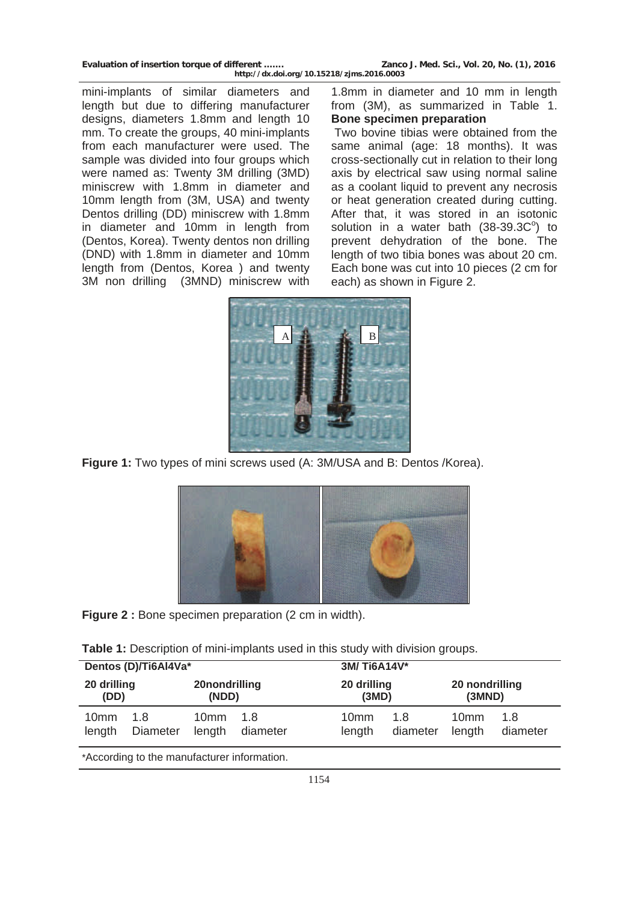| Evaluation of insertion torque of different | Zanco J. Med. Sci., Vol. 20, No. (1), 2016 |
|---------------------------------------------|--------------------------------------------|
| http://dx.doi.org/10.15218/zjms.2016.0003   |                                            |

mini-implants of similar diameters and length but due to differing manufacturer designs, diameters 1.8mm and length 10 mm. To create the groups, 40 mini-implants from each manufacturer were used. The sample was divided into four groups which were named as: Twenty 3M drilling (3MD) miniscrew with 1.8mm in diameter and 10mm length from (3M, USA) and twenty Dentos drilling (DD) miniscrew with 1.8mm in diameter and 10mm in length from (Dentos, Korea). Twenty dentos non drilling (DND) with 1.8mm in diameter and 10mm length from (Dentos, Korea ) and twenty 3M non drilling (3MND) miniscrew with

1.8mm in diameter and 10 mm in length from (3M), as summarized in Table 1. **Bone specimen preparation** 

 Two bovine tibias were obtained from the same animal (age: 18 months). It was cross-sectionally cut in relation to their long axis by electrical saw using normal saline as a coolant liquid to prevent any necrosis or heat generation created during cutting. After that, it was stored in an isotonic solution in a water bath  $(38-39.3C<sup>o</sup>)$  to prevent dehydration of the bone. The length of two tibia bones was about 20 cm. Each bone was cut into 10 pieces (2 cm for each) as shown in Figure 2.



**Figure 1:** Two types of mini screws used (A: 3M/USA and B: Dentos /Korea).



**Figure 2 :** Bone specimen preparation (2 cm in width).

| Table 1: Description of mini-implants used in this study with division groups. |  |  |  |  |
|--------------------------------------------------------------------------------|--|--|--|--|
|--------------------------------------------------------------------------------|--|--|--|--|

|                                             | Dentos (D)/Ti6Al4Va*   |                            |                 | 3M/Ti6A14V*                |                 |                            |                 |
|---------------------------------------------|------------------------|----------------------------|-----------------|----------------------------|-----------------|----------------------------|-----------------|
| 20 drilling<br>(DD)                         |                        | 20nondrilling<br>(NDD)     |                 | 20 drilling<br>(3MD)       |                 | 20 nondrilling<br>(3MND)   |                 |
| 10 <sub>mm</sub><br>length                  | 1.8<br><b>Diameter</b> | 10 <sub>mm</sub><br>length | 1.8<br>diameter | 10 <sub>mm</sub><br>length | 1.8<br>diameter | 10 <sub>mm</sub><br>length | 1.8<br>diameter |
| *According to the manufacturer information. |                        |                            |                 |                            |                 |                            |                 |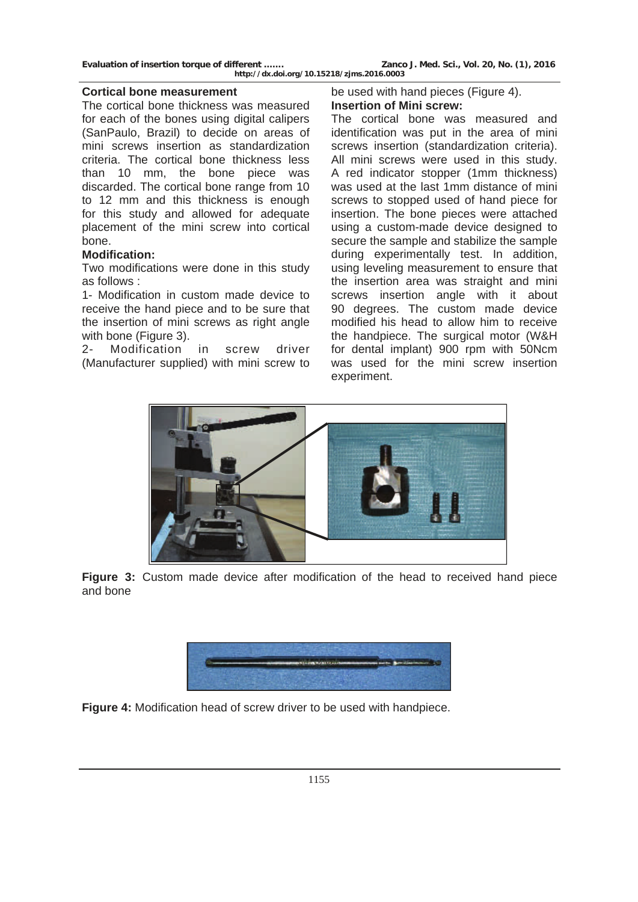**Evaluation of insertion torque of different ……. Zanco J. Med. Sci., Vol. 20, No. (1), 2016** 

## **Cortical bone measurement**

The cortical bone thickness was measured for each of the bones using digital calipers (SanPaulo, Brazil) to decide on areas of mini screws insertion as standardization criteria. The cortical bone thickness less than 10 mm, the bone piece was discarded. The cortical bone range from 10 to 12 mm and this thickness is enough for this study and allowed for adequate placement of the mini screw into cortical bone.

# **Modification:**

Two modifications were done in this study as follows :

1- Modification in custom made device to receive the hand piece and to be sure that the insertion of mini screws as right angle with bone (Figure 3).

2- Modification in screw driver (Manufacturer supplied) with mini screw to

# be used with hand pieces (Figure 4). **Insertion of Mini screw:**

The cortical bone was measured and identification was put in the area of mini screws insertion (standardization criteria). All mini screws were used in this study. A red indicator stopper (1mm thickness) was used at the last 1mm distance of mini screws to stopped used of hand piece for insertion. The bone pieces were attached using a custom-made device designed to secure the sample and stabilize the sample during experimentally test. In addition, using leveling measurement to ensure that the insertion area was straight and mini screws insertion angle with it about 90 degrees. The custom made device modified his head to allow him to receive the handpiece. The surgical motor (W&H for dental implant) 900 rpm with 50Ncm was used for the mini screw insertion experiment.



**Figure 3:** Custom made device after modification of the head to received hand piece and bone



**Figure 4:** Modification head of screw driver to be used with handpiece.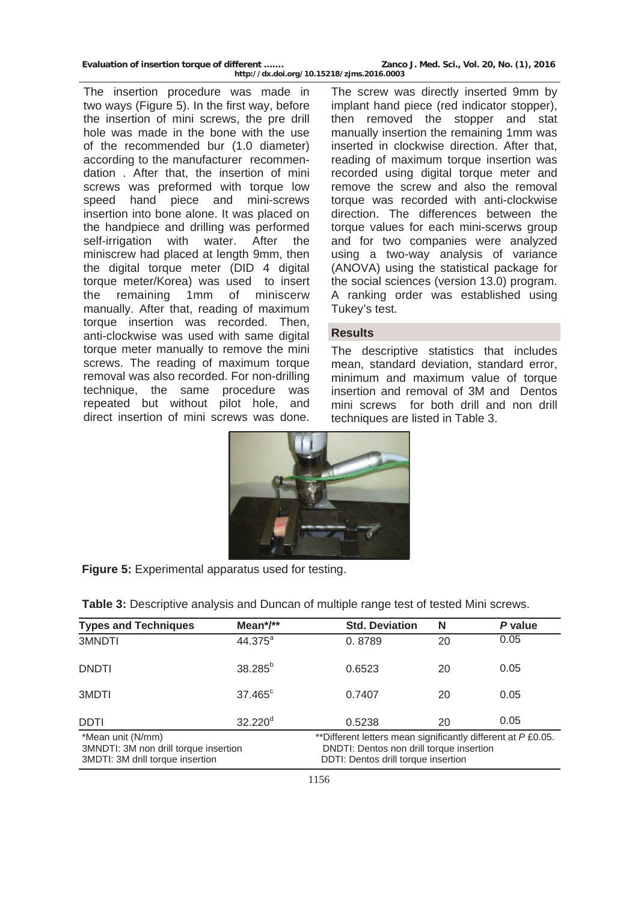| Evaluation of insertion torque of different | Zanco J. Med. Sci., Vol. 20, No. (1), 2016 |
|---------------------------------------------|--------------------------------------------|
| http://dx.doi.org/10.15218/zjms.2016.0003   |                                            |

The insertion procedure was made in two ways (Figure 5). In the first way, before the insertion of mini screws, the pre drill hole was made in the bone with the use of the recommended bur (1.0 diameter) according to the manufacturer recommendation . After that, the insertion of mini screws was preformed with torque low speed hand piece and mini-screws insertion into bone alone. It was placed on the handpiece and drilling was performed self-irrigation with water. After the miniscrew had placed at length 9mm, then the digital torque meter (DID 4 digital torque meter/Korea) was used to insert the remaining 1mm of miniscerw manually. After that, reading of maximum torque insertion was recorded. Then, anti-clockwise was used with same digital torque meter manually to remove the mini screws. The reading of maximum torque removal was also recorded. For non-drilling technique, the same procedure was repeated but without pilot hole, and direct insertion of mini screws was done.

The screw was directly inserted 9mm by implant hand piece (red indicator stopper), then removed the stopper and stat manually insertion the remaining 1mm was inserted in clockwise direction. After that, reading of maximum torque insertion was recorded using digital torque meter and remove the screw and also the removal torque was recorded with anti-clockwise direction. The differences between the torque values for each mini-scerws group and for two companies were analyzed using a two-way analysis of variance (ANOVA) using the statistical package for the social sciences (version 13.0) program. A ranking order was established using Tukey's test.

## **Results**

The descriptive statistics that includes mean, standard deviation, standard error, minimum and maximum value of torque insertion and removal of 3M and Dentos mini screws for both drill and non drill techniques are listed in Table 3.



|  | Figure 5: Experimental apparatus used for testing. |  |
|--|----------------------------------------------------|--|
|--|----------------------------------------------------|--|

| <b>Types and Techniques</b>                                                                    | Mean $^*/**$          | <b>Std. Deviation</b>                                                                                                                           | N  | P value |
|------------------------------------------------------------------------------------------------|-----------------------|-------------------------------------------------------------------------------------------------------------------------------------------------|----|---------|
| 3MNDTI                                                                                         | 44.375 <sup>a</sup>   | 0.8789                                                                                                                                          | 20 | 0.05    |
| <b>DNDTI</b>                                                                                   | $38.285^{b}$          | 0.6523                                                                                                                                          | 20 | 0.05    |
| 3MDTI                                                                                          | $37.465^{\circ}$      | 0.7407                                                                                                                                          | 20 | 0.05    |
| <b>DDTI</b>                                                                                    | $32.220$ <sup>d</sup> | 0.5238                                                                                                                                          | 20 | 0.05    |
| *Mean unit (N/mm)<br>3MNDTI: 3M non drill torque insertion<br>3MDTI: 3M drill torque insertion |                       | **Different letters mean significantly different at P £0.05.<br>DNDTI: Dentos non drill torque insertion<br>DDTI: Dentos drill torque insertion |    |         |

|  | Table 3: Descriptive analysis and Duncan of multiple range test of tested Mini screws. |
|--|----------------------------------------------------------------------------------------|
|--|----------------------------------------------------------------------------------------|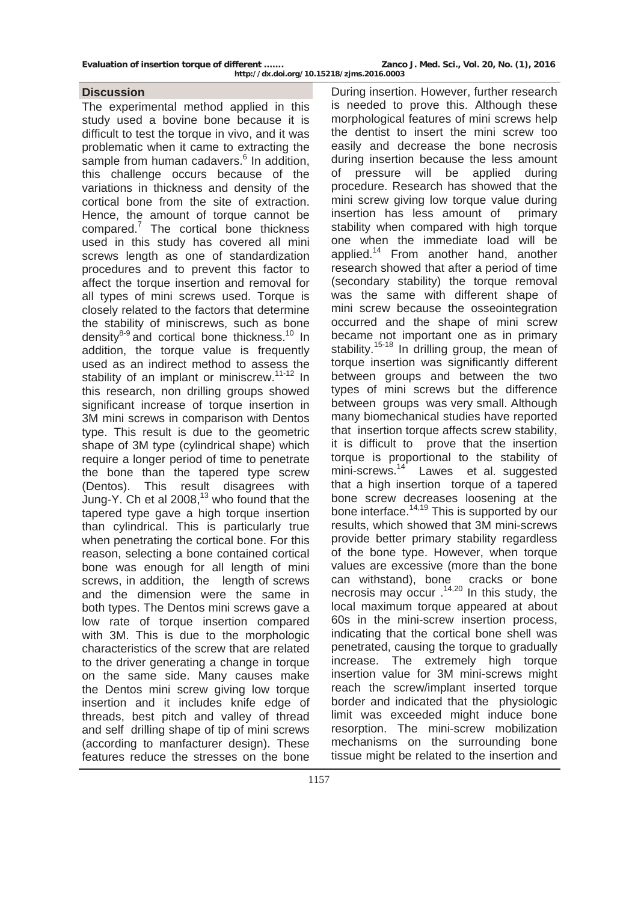Evaluation of insertion torque of different ....... **Zanco J. Med. Sci., Vol. 20, No. (1)**, 2016

The experimental method applied in this study used a bovine bone because it is difficult to test the torque in vivo, and it was problematic when it came to extracting the .<br>sample from human cadavers.<sup>6</sup> In addition, this challenge occurs because of the variations in thickness and density of the cortical bone from the site of extraction. Hence, the amount of torque cannot be compared.<sup>7</sup> The cortical bone thickness used in this study has covered all mini screws length as one of standardization procedures and to prevent this factor to affect the torque insertion and removal for all types of mini screws used. Torque is closely related to the factors that determine the stability of miniscrews, such as bone density $8-9$  and cortical bone thickness.<sup>10</sup> In addition, the torque value is frequently used as an indirect method to assess the stability of an implant or miniscrew.<sup>11-12</sup> In this research, non drilling groups showed significant increase of torque insertion in 3M mini screws in comparison with Dentos type. This result is due to the geometric shape of 3M type (cylindrical shape) which require a longer period of time to penetrate the bone than the tapered type screw (Dentos). This result disagrees with Jung-Y. Ch et al 2008,13 who found that the tapered type gave a high torque insertion than cylindrical. This is particularly true when penetrating the cortical bone. For this reason, selecting a bone contained cortical bone was enough for all length of mini screws, in addition, the length of screws and the dimension were the same in both types. The Dentos mini screws gave a low rate of torque insertion compared with 3M. This is due to the morphologic characteristics of the screw that are related to the driver generating a change in torque on the same side. Many causes make the Dentos mini screw giving low torque insertion and it includes knife edge of threads, best pitch and valley of thread and self drilling shape of tip of mini screws (according to manfacturer design). These features reduce the stresses on the bone

**Discussion Discussion During insertion. However, further research** is needed to prove this. Although these morphological features of mini screws help the dentist to insert the mini screw too easily and decrease the bone necrosis during insertion because the less amount of pressure will be applied during procedure. Research has showed that the mini screw giving low torque value during insertion has less amount of primary stability when compared with high torque one when the immediate load will be applied.<sup>14</sup> From another hand, another research showed that after a period of time (secondary stability) the torque removal was the same with different shape of mini screw because the osseointegration occurred and the shape of mini screw became not important one as in primary stability.<sup>15-18</sup> In drilling group, the mean of torque insertion was significantly different between groups and between the two types of mini screws but the difference between groups was very small. Although many biomechanical studies have reported that insertion torque affects screw stability, it is difficult to prove that the insertion torque is proportional to the stability of mini-screws.<sup>14</sup> Lawes et al. suggested that a high insertion torque of a tapered bone screw decreases loosening at the bone interface.<sup>14,19</sup> This is supported by our results, which showed that 3M mini-screws provide better primary stability regardless of the bone type. However, when torque values are excessive (more than the bone can withstand), bone cracks or bone necrosis may occur .14,20 In this study, the local maximum torque appeared at about 60s in the mini-screw insertion process, indicating that the cortical bone shell was penetrated, causing the torque to gradually increase. The extremely high torque insertion value for 3M mini-screws might reach the screw/implant inserted torque border and indicated that the physiologic limit was exceeded might induce bone resorption. The mini-screw mobilization mechanisms on the surrounding bone tissue might be related to the insertion and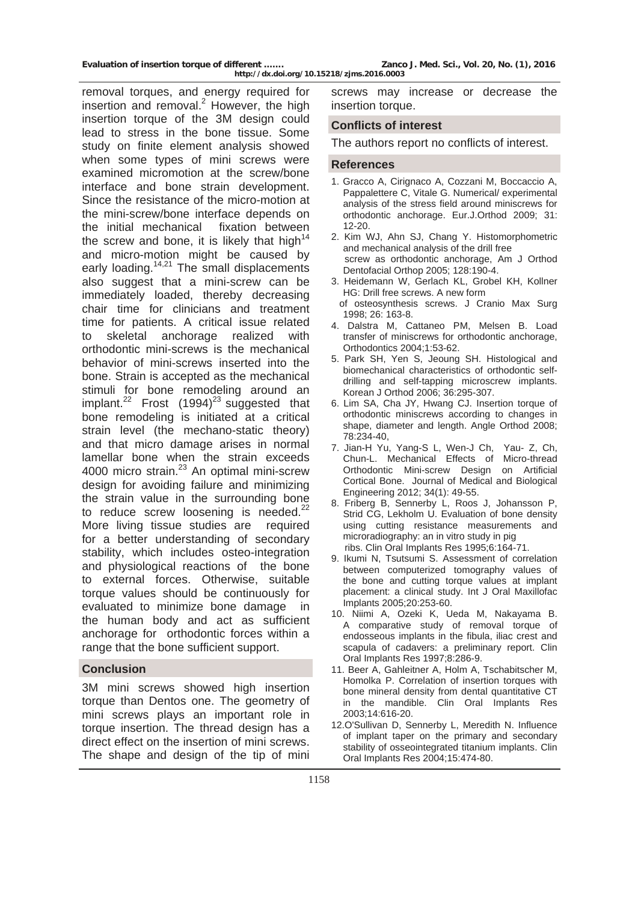removal torques, and energy required for insertion and removal. $2$  However, the high insertion torque of the 3M design could lead to stress in the bone tissue. Some study on finite element analysis showed when some types of mini screws were examined micromotion at the screw/bone interface and bone strain development. Since the resistance of the micro-motion at the mini-screw/bone interface depends on the initial mechanical fixation between the screw and bone, it is likely that high $14$ and micro-motion might be caused by early loading.<sup>14,21</sup> The small displacements also suggest that a mini-screw can be immediately loaded, thereby decreasing chair time for clinicians and treatment time for patients. A critical issue related to skeletal anchorage realized with orthodontic mini-screws is the mechanical behavior of mini-screws inserted into the bone. Strain is accepted as the mechanical stimuli for bone remodeling around an implant. $22$  Frost (1994)<sup>23</sup> suggested that bone remodeling is initiated at a critical strain level (the mechano-static theory) and that micro damage arises in normal lamellar bone when the strain exceeds 4000 micro strain.<sup>23</sup> An optimal mini-screw design for avoiding failure and minimizing the strain value in the surrounding bone to reduce screw loosening is needed. $^{22}$ More living tissue studies are required for a better understanding of secondary stability, which includes osteo-integration and physiological reactions of the bone to external forces. Otherwise, suitable torque values should be continuously for evaluated to minimize bone damage in the human body and act as sufficient anchorage for orthodontic forces within a range that the bone sufficient support.

#### **Conclusion**

3M mini screws showed high insertion torque than Dentos one. The geometry of mini screws plays an important role in torque insertion. The thread design has a direct effect on the insertion of mini screws. The shape and design of the tip of mini screws may increase or decrease the insertion torque.

#### **Conflicts of interest**

The authors report no conflicts of interest.

#### **References**

- 1. Gracco A, Cirignaco A, Cozzani M, Boccaccio A, Pappalettere C, Vitale G. Numerical/ experimental analysis of the stress field around miniscrews for orthodontic anchorage. Eur.J.Orthod 2009; 31: 12-20.
- 2. Kim WJ, Ahn SJ, Chang Y. Histomorphometric and mechanical analysis of the drill free screw as orthodontic anchorage, Am J Orthod Dentofacial Orthop 2005; 128:190-4.
- 3. Heidemann W, Gerlach KL, Grobel KH, Kollner HG: Drill free screws. A new form of osteosynthesis screws. J Cranio Max Surg
- 1998; 26: 163-8.
- 4. Dalstra M, Cattaneo PM, Melsen B. Load transfer of miniscrews for orthodontic anchorage, Orthodontics 2004;1:53-62.
- 5. Park SH, Yen S, Jeoung SH. Histological and biomechanical characteristics of orthodontic selfdrilling and self-tapping microscrew implants. Korean J Orthod 2006; 36:295-307.
- 6. Lim SA, Cha JY, Hwang CJ. Insertion torque of orthodontic miniscrews according to changes in shape, diameter and length. Angle Orthod 2008; 78:234-40,
- 7. Jian-H Yu, Yang-S L, Wen-J Ch, Yau- Z, Ch, Chun-L. Mechanical Effects of Micro-thread Orthodontic Mini-screw Design on Artificial Cortical Bone. Journal of Medical and Biological Engineering 2012; 34(1): 49-55.
- 8. Friberg B, Sennerby L, Roos J, Johansson P, Strid CG, Lekholm U. Evaluation of bone density using cutting resistance measurements and microradiography: an in vitro study in pig ribs. Clin Oral Implants Res 1995;6:164-71.
- 9. Ikumi N, Tsutsumi S. Assessment of correlation between computerized tomography values of the bone and cutting torque values at implant placement: a clinical study. Int J Oral Maxillofac Implants 2005;20:253-60.
- 10. Niimi A, Ozeki K, Ueda M, Nakayama B. A comparative study of removal torque of endosseous implants in the fibula, iliac crest and scapula of cadavers: a preliminary report. Clin Oral Implants Res 1997;8:286-9.
- 11. Beer A, Gahleitner A, Holm A, Tschabitscher M, Homolka P. Correlation of insertion torques with bone mineral density from dental quantitative CT in the mandible. Clin Oral Implants Res 2003;14:616-20.
- 12.O'Sullivan D, Sennerby L, Meredith N. Influence of implant taper on the primary and secondary stability of osseointegrated titanium implants. Clin Oral Implants Res 2004;15:474-80.